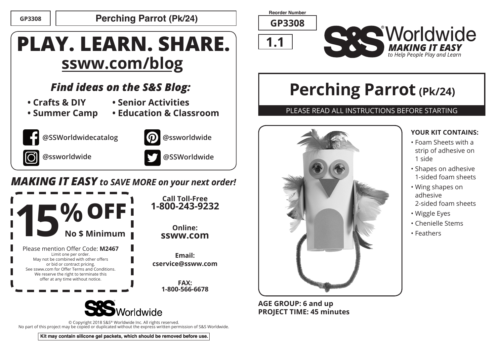**GP3308 Perching Parrot (Pk/24)**

# **PLAY. LEARN. SHARE. ssww.com/blog**

## *Find ideas on the S&S Blog:*

- **Crafts & DIY**
- **Senior Activities**
- **Summer Camp**





**@SSWorldwidecatalog**



**@ssworldwide .**



**Online:**

**@ssworldwide**

**Email:** 

**FAX:** 

## *MAKING IT EASY to SAVE MORE on your next order!*



© Copyright 2018 S&S® Worldwide Inc. All rights reserved. No part of this project may be copied or duplicated without the express written permission of S&S Worldwide.

**Reorder Number**

**GP3308**





# **Perching Parrot (Pk/24)**

### PLEASE READ ALL INSTRUCTIONS BEFORE STARTING



**AGE GROUP: 6 and up PROJECT TIME: 45 minutes**

### **YOUR KIT CONTAINS:**

- Foam Sheets with a strip of adhesive on 1 side
- Shapes on adhesive 1-sided foam sheets
- Wing shapes on adhesive
- 2-sided foam sheets
- Wiggle Eyes
- Chenielle Stems
- Feathers

**Kit may contain silicone gel packets, which should be removed before use.**